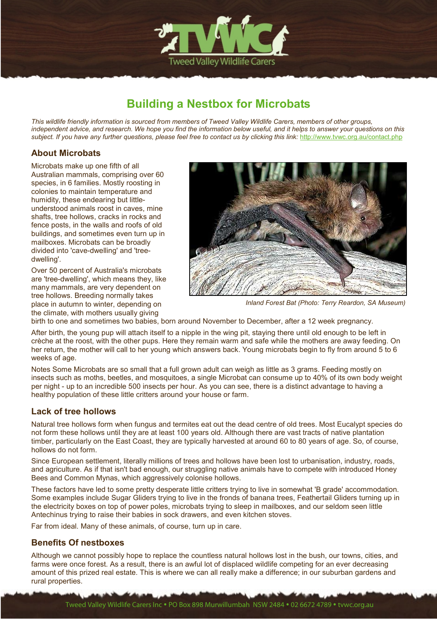

# **Building a Nestbox for Microbats**

*This wildlife friendly information is sourced from members of Tweed Valley Wildlife Carers, members of other groups, independent advice, and research. We hope you find the information below useful, and it helps to answer your questions on this*  subject. If you have any further questions, please feel free to contact us by clicking this link: http://www.tvwc.org.au/contact.php

## **About Microbats**

Microbats make up one fifth of all Australian mammals, comprising over 60 species, in 6 families. Mostly roosting in colonies to maintain temperature and humidity, these endearing but littleunderstood animals roost in caves, mine shafts, tree hollows, cracks in rocks and fence posts, in the walls and roofs of old buildings, and sometimes even turn up in mailboxes. Microbats can be broadly divided into 'cave-dwelling' and 'treedwelling'.

Over 50 percent of Australia's microbats are 'tree-dwelling', which means they, like many mammals, are very dependent on tree hollows. Breeding normally takes place in autumn to winter, depending on the climate, with mothers usually giving



*Inland Forest Bat (Photo: Terry Reardon, SA Museum)*

birth to one and sometimes two babies, born around November to December, after a 12 week pregnancy.

After birth, the young pup will attach itself to a nipple in the wing pit, staying there until old enough to be left in crèche at the roost, with the other pups. Here they remain warm and safe while the mothers are away feeding. On her return, the mother will call to her young which answers back. Young microbats begin to fly from around 5 to 6 weeks of age.

Notes Some Microbats are so small that a full grown adult can weigh as little as 3 grams. Feeding mostly on insects such as moths, beetles, and mosquitoes, a single Microbat can consume up to 40% of its own body weight per night - up to an incredible 500 insects per hour. As you can see, there is a distinct advantage to having a healthy population of these little critters around your house or farm.

## **Lack of tree hollows**

Natural tree hollows form when fungus and termites eat out the dead centre of old trees. Most Eucalypt species do not form these hollows until they are at least 100 years old. Although there are vast tracts of native plantation timber, particularly on the East Coast, they are typically harvested at around 60 to 80 years of age. So, of course, hollows do not form.

Since European settlement, literally millions of trees and hollows have been lost to urbanisation, industry, roads, and agriculture. As if that isn't bad enough, our struggling native animals have to compete with introduced Honey Bees and Common Mynas, which aggressively colonise hollows.

These factors have led to some pretty desperate little critters trying to live in somewhat 'B grade' accommodation. Some examples include Sugar Gliders trying to live in the fronds of banana trees, Feathertail Gliders turning up in the electricity boxes on top of power poles, microbats trying to sleep in mailboxes, and our seldom seen little Antechinus trying to raise their babies in sock drawers, and even kitchen stoves.

Far from ideal. Many of these animals, of course, turn up in care.

## **Benefits Of nestboxes**

Although we cannot possibly hope to replace the countless natural hollows lost in the bush, our towns, cities, and farms were once forest. As a result, there is an awful lot of displaced wildlife competing for an ever decreasing amount of this prized real estate. This is where we can all really make a difference; in our suburban gardens and rural properties.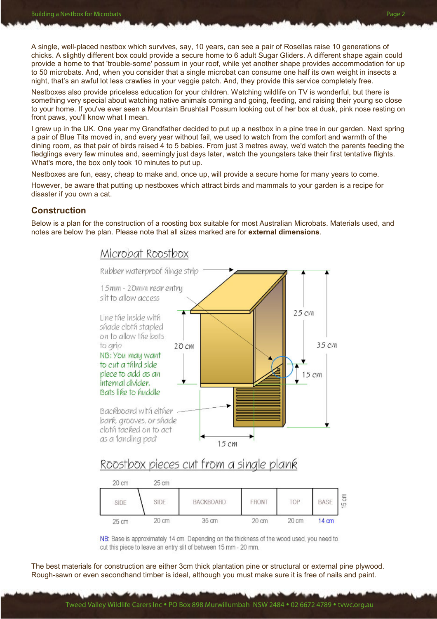A single, well-placed nestbox which survives, say, 10 years, can see a pair of Rosellas raise 10 generations of chicks. A slightly different box could provide a secure home to 6 adult Sugar Gliders. A different shape again could provide a home to that 'trouble-some' possum in your roof, while yet another shape provides accommodation for up to 50 microbats. And, when you consider that a single microbat can consume one half its own weight in insects a night, that's an awful lot less crawlies in your veggie patch. And, they provide this service completely free.

Nestboxes also provide priceless education for your children. Watching wildlife on TV is wonderful, but there is something very special about watching native animals coming and going, feeding, and raising their young so close to your home. If you've ever seen a Mountain Brushtail Possum looking out of her box at dusk, pink nose resting on front paws, you'll know what I mean.

I grew up in the UK. One year my Grandfather decided to put up a nestbox in a pine tree in our garden. Next spring a pair of Blue Tits moved in, and every year without fail, we used to watch from the comfort and warmth of the dining room, as that pair of birds raised 4 to 5 babies. From just 3 metres away, we'd watch the parents feeding the fledglings every few minutes and, seemingly just days later, watch the youngsters take their first tentative flights. What's more, the box only took 10 minutes to put up.

Nestboxes are fun, easy, cheap to make and, once up, will provide a secure home for many years to come.

However, be aware that putting up nestboxes which attract birds and mammals to your garden is a recipe for disaster if you own a cat.

#### **Construction**

Below is a plan for the construction of a roosting box suitable for most Australian Microbats. Materials used, and notes are below the plan. Please note that all sizes marked are for **external dimensions**.



## Roostbox pieces cut from a single plank

| 20 cm | $25 \text{ cm}$ |                  |                 |       |                 |        |
|-------|-----------------|------------------|-----------------|-------|-----------------|--------|
| SIDE  | SIDE            | <b>BACKBOARD</b> | FRONT           | TOP   | <b>BASE</b>     | 등<br>띺 |
| 25 cm | $20 \text{ cm}$ | 35 cm            | $20 \text{ cm}$ | 20 cm | $14 \text{ cm}$ |        |

NB: Base is approximately 14 cm. Depending on the thickness of the wood used, you need to cut this piece to leave an entry slit of between 15 mm - 20 mm.

The best materials for construction are either 3cm thick plantation pine or structural or external pine plywood. Rough-sawn or even secondhand timber is ideal, although you must make sure it is free of nails and paint.